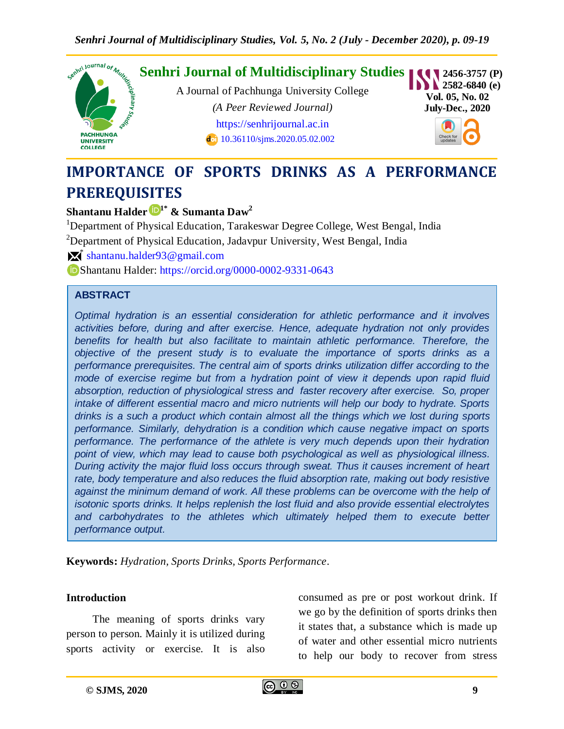

# **IMPORTANCE OF SPORTS DRINKS AS A PERFORMANCE PREREQUISITES**

# **Shantanu Halder 1\* & Sumanta Daw<sup>2</sup>**

<sup>1</sup>Department of Physical Education, Tarakeswar Degree College, West Bengal, India

<sup>2</sup>Department of Physical Education, Jadavpur University, West Bengal, India

 $\mathbb{X}^*$  [shantanu.halder93@gmail.com](mailto:shantanu.halder93@gmail.com)

Shantanu Halder:<https://orcid.org/0000-0002-9331-0643>

#### **ABSTRACT**

*Optimal hydration is an essential consideration for athletic performance and it involves activities before, during and after exercise. Hence, adequate hydration not only provides benefits for health but also facilitate to maintain athletic performance. Therefore, the objective of the present study is to evaluate the importance of sports drinks as a performance prerequisites. The central aim of sports drinks utilization differ according to the mode of exercise regime but from a hydration point of view it depends upon rapid fluid absorption, reduction of physiological stress and faster recovery after exercise. So, proper intake of different essential macro and micro nutrients will help our body to hydrate. Sports drinks is a such a product which contain almost all the things which we lost during sports performance. Similarly, dehydration is a condition which cause negative impact on sports performance. The performance of the athlete is very much depends upon their hydration point of view, which may lead to cause both psychological as well as physiological illness. During activity the major fluid loss occurs through sweat. Thus it causes increment of heart rate, body temperature and also reduces the fluid absorption rate, making out body resistive against the minimum demand of work. All these problems can be overcome with the help of isotonic sports drinks. It helps replenish the lost fluid and also provide essential electrolytes*  and carbohydrates to the athletes which ultimately helped them to execute better *performance output.*

**Keywords:** *Hydration, Sports Drinks, Sports Performance.*

#### **Introduction**

The meaning of sports drinks vary person to person. Mainly it is utilized during sports activity or exercise. It is also consumed as pre or post workout drink. If we go by the definition of sports drinks then it states that, a substance which is made up of water and other essential micro nutrients to help our body to recover from stress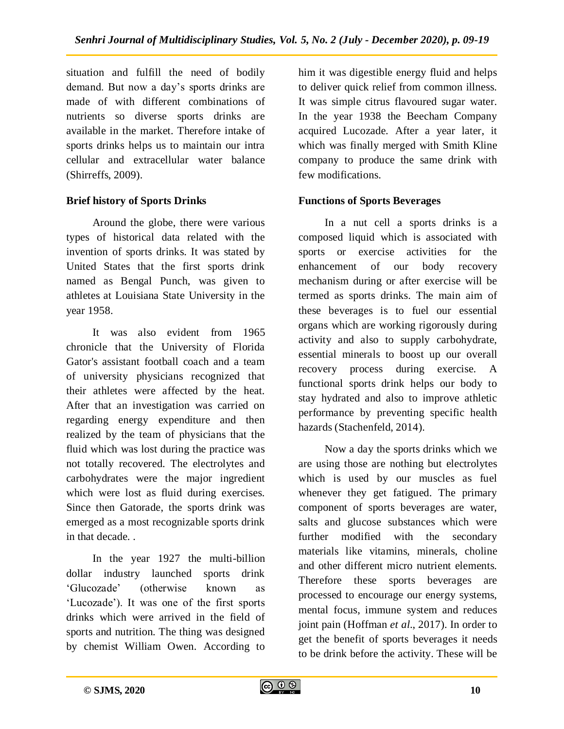situation and fulfill the need of bodily demand. But now a day's sports drinks are made of with different combinations of nutrients so diverse sports drinks are available in the market. Therefore intake of sports drinks helps us to maintain our intra cellular and extracellular water balance (Shirreffs, 2009).

# **Brief history of Sports Drinks**

Around the globe, there were various types of historical data related with the invention of sports drinks. It was stated by United States that the first sports drink named as Bengal Punch, was given to athletes at Louisiana State University in the year 1958.

It was also evident from 1965 chronicle that the University of Florida Gator's assistant football coach and a team of university physicians recognized that their athletes were affected by the heat. After that an investigation was carried on regarding energy expenditure and then realized by the team of physicians that the fluid which was lost during the practice was not totally recovered. The electrolytes and carbohydrates were the major ingredient which were lost as fluid during exercises. Since then Gatorade, the sports drink was emerged as a most recognizable sports drink in that decade. .

In the year 1927 the multi-billion dollar industry launched sports drink 'Glucozade' (otherwise known as 'Lucozade'). It was one of the first sports drinks which were arrived in the field of sports and nutrition. The thing was designed by chemist William Owen. According to

him it was digestible energy fluid and helps to deliver quick relief from common illness. It was simple citrus flavoured sugar water. In the year 1938 the Beecham Company acquired Lucozade. After a year later, it which was finally merged with Smith Kline company to produce the same drink with few modifications.

## **Functions of Sports Beverages**

In a nut cell a sports drinks is a composed liquid which is associated with sports or exercise activities for the enhancement of our body recovery mechanism during or after exercise will be termed as sports drinks. The main aim of these beverages is to fuel our essential organs which are working rigorously during activity and also to supply carbohydrate, essential minerals to boost up our overall recovery process during exercise. A functional sports drink helps our body to stay hydrated and also to improve athletic performance by preventing specific health hazards (Stachenfeld, 2014).

Now a day the sports drinks which we are using those are nothing but electrolytes which is used by our muscles as fuel whenever they get fatigued. The primary component of sports beverages are water, salts and glucose substances which were further modified with the secondary materials like vitamins, minerals, choline and other different micro nutrient elements. Therefore these sports beverages are processed to encourage our energy systems, mental focus, immune system and reduces joint pain (Hoffman *et al*., 2017). In order to get the benefit of sports beverages it needs to be drink before the activity. These will be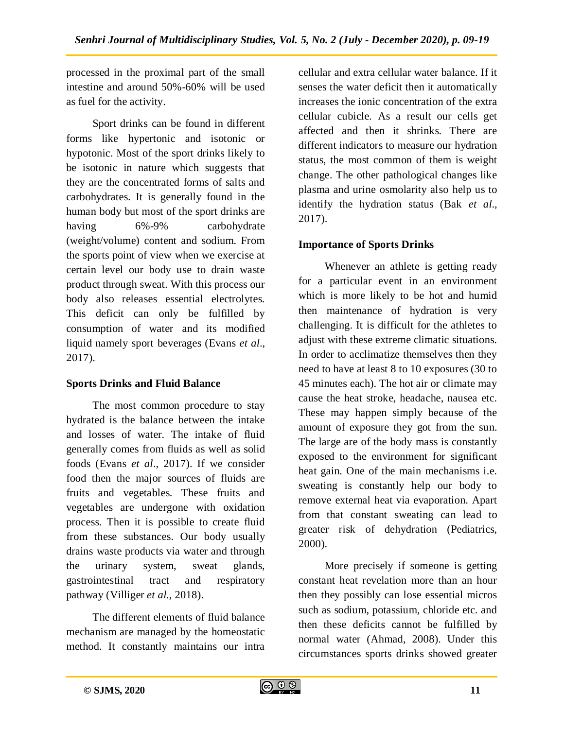processed in the proximal part of the small intestine and around 50%-60% will be used as fuel for the activity.

Sport drinks can be found in different forms like hypertonic and isotonic or hypotonic. Most of the sport drinks likely to be isotonic in nature which suggests that they are the concentrated forms of salts and carbohydrates. It is generally found in the human body but most of the sport drinks are having 6%-9% carbohydrate (weight/volume) content and sodium. From the sports point of view when we exercise at certain level our body use to drain waste product through sweat. With this process our body also releases essential electrolytes. This deficit can only be fulfilled by consumption of water and its modified liquid namely sport beverages (Evans *et al*., 2017).

# **Sports Drinks and Fluid Balance**

The most common procedure to stay hydrated is the balance between the intake and losses of water. The intake of fluid generally comes from fluids as well as solid foods (Evans *et al*., 2017). If we consider food then the major sources of fluids are fruits and vegetables. These fruits and vegetables are undergone with oxidation process. Then it is possible to create fluid from these substances. Our body usually drains waste products via water and through the urinary system, sweat glands, gastrointestinal tract and respiratory pathway (Villiger *et al.*, 2018).

The different elements of fluid balance mechanism are managed by the homeostatic method. It constantly maintains our intra cellular and extra cellular water balance. If it senses the water deficit then it automatically increases the ionic concentration of the extra cellular cubicle. As a result our cells get affected and then it shrinks. There are different indicators to measure our hydration status, the most common of them is weight change. The other pathological changes like plasma and urine osmolarity also help us to identify the hydration status (Bak *et al*., 2017).

# **Importance of Sports Drinks**

Whenever an athlete is getting ready for a particular event in an environment which is more likely to be hot and humid then maintenance of hydration is very challenging. It is difficult for the athletes to adjust with these extreme climatic situations. In order to acclimatize themselves then they need to have at least 8 to 10 exposures (30 to 45 minutes each). The hot air or climate may cause the heat stroke, headache, nausea etc. These may happen simply because of the amount of exposure they got from the sun. The large are of the body mass is constantly exposed to the environment for significant heat gain. One of the main mechanisms i.e. sweating is constantly help our body to remove external heat via evaporation. Apart from that constant sweating can lead to greater risk of dehydration (Pediatrics, 2000).

More precisely if someone is getting constant heat revelation more than an hour then they possibly can lose essential micros such as sodium, potassium, chloride etc. and then these deficits cannot be fulfilled by normal water (Ahmad, 2008). Under this circumstances sports drinks showed greater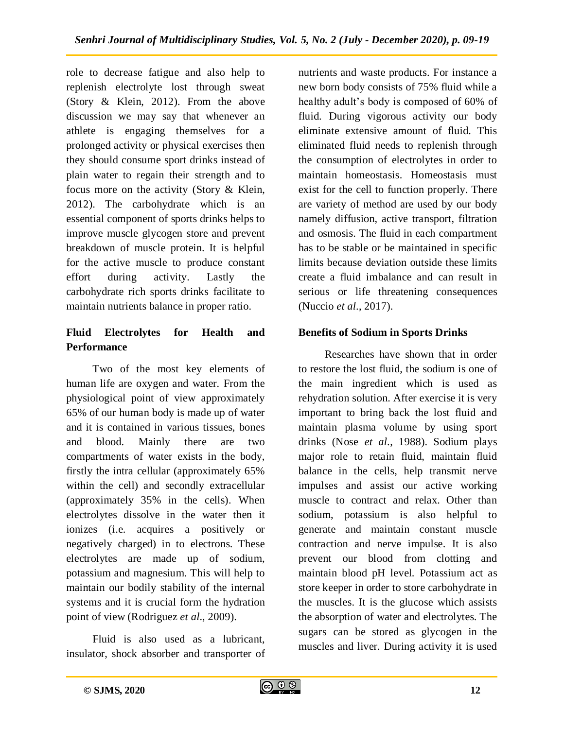role to decrease fatigue and also help to replenish electrolyte lost through sweat (Story & Klein, 2012). From the above discussion we may say that whenever an athlete is engaging themselves for a prolonged activity or physical exercises then they should consume sport drinks instead of plain water to regain their strength and to focus more on the activity (Story & Klein, 2012). The carbohydrate which is an essential component of sports drinks helps to improve muscle glycogen store and prevent breakdown of muscle protein. It is helpful for the active muscle to produce constant effort during activity. Lastly the carbohydrate rich sports drinks facilitate to maintain nutrients balance in proper ratio.

# **Fluid Electrolytes for Health and Performance**

Two of the most key elements of human life are oxygen and water. From the physiological point of view approximately 65% of our human body is made up of water and it is contained in various tissues, bones and blood. Mainly there are two compartments of water exists in the body, firstly the intra cellular (approximately 65% within the cell) and secondly extracellular (approximately 35% in the cells). When electrolytes dissolve in the water then it ionizes (i.e. acquires a positively or negatively charged) in to electrons. These electrolytes are made up of sodium, potassium and magnesium. This will help to maintain our bodily stability of the internal systems and it is crucial form the hydration point of view (Rodriguez *et al*., 2009).

Fluid is also used as a lubricant, insulator, shock absorber and transporter of nutrients and waste products. For instance a new born body consists of 75% fluid while a healthy adult's body is composed of 60% of fluid. During vigorous activity our body eliminate extensive amount of fluid. This eliminated fluid needs to replenish through the consumption of electrolytes in order to maintain homeostasis. Homeostasis must exist for the cell to function properly. There are variety of method are used by our body namely diffusion, active transport, filtration and osmosis. The fluid in each compartment has to be stable or be maintained in specific limits because deviation outside these limits create a fluid imbalance and can result in serious or life threatening consequences (Nuccio *et al*., 2017).

# **Benefits of Sodium in Sports Drinks**

Researches have shown that in order to restore the lost fluid, the sodium is one of the main ingredient which is used as rehydration solution. After exercise it is very important to bring back the lost fluid and maintain plasma volume by using sport drinks (Nose *et al*., 1988). Sodium plays major role to retain fluid, maintain fluid balance in the cells, help transmit nerve impulses and assist our active working muscle to contract and relax. Other than sodium, potassium is also helpful to generate and maintain constant muscle contraction and nerve impulse. It is also prevent our blood from clotting and maintain blood pH level. Potassium act as store keeper in order to store carbohydrate in the muscles. It is the glucose which assists the absorption of water and electrolytes. The sugars can be stored as glycogen in the muscles and liver. During activity it is used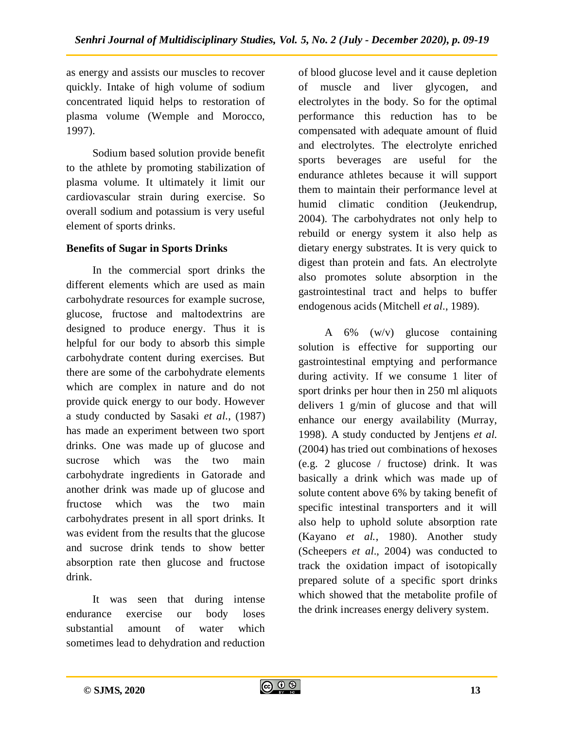as energy and assists our muscles to recover quickly. Intake of high volume of sodium concentrated liquid helps to restoration of plasma volume (Wemple and Morocco, 1997).

Sodium based solution provide benefit to the athlete by promoting stabilization of plasma volume. It ultimately it limit our cardiovascular strain during exercise. So overall sodium and potassium is very useful element of sports drinks.

## **Benefits of Sugar in Sports Drinks**

In the commercial sport drinks the different elements which are used as main carbohydrate resources for example sucrose, glucose, fructose and maltodextrins are designed to produce energy. Thus it is helpful for our body to absorb this simple carbohydrate content during exercises. But there are some of the carbohydrate elements which are complex in nature and do not provide quick energy to our body. However a study conducted by Sasaki *et al*., (1987) has made an experiment between two sport drinks. One was made up of glucose and sucrose which was the two main carbohydrate ingredients in Gatorade and another drink was made up of glucose and fructose which was the two main carbohydrates present in all sport drinks. It was evident from the results that the glucose and sucrose drink tends to show better absorption rate then glucose and fructose drink.

It was seen that during intense endurance exercise our body loses substantial amount of water which sometimes lead to dehydration and reduction of blood glucose level and it cause depletion of muscle and liver glycogen, and electrolytes in the body. So for the optimal performance this reduction has to be compensated with adequate amount of fluid and electrolytes. The electrolyte enriched sports beverages are useful for the endurance athletes because it will support them to maintain their performance level at humid climatic condition (Jeukendrup, 2004). The carbohydrates not only help to rebuild or energy system it also help as dietary energy substrates. It is very quick to digest than protein and fats. An electrolyte also promotes solute absorption in the gastrointestinal tract and helps to buffer endogenous acids (Mitchell *et al*., 1989).

A 6% (w/v) glucose containing solution is effective for supporting our gastrointestinal emptying and performance during activity. If we consume 1 liter of sport drinks per hour then in 250 ml aliquots delivers 1 g/min of glucose and that will enhance our energy availability (Murray, 1998). A study conducted by Jentjens *et al.*  (2004) has tried out combinations of hexoses (e.g. 2 glucose / fructose) drink. It was basically a drink which was made up of solute content above 6% by taking benefit of specific intestinal transporters and it will also help to uphold solute absorption rate (Kayano *et al.*, 1980). Another study (Scheepers *et al*., 2004) was conducted to track the oxidation impact of isotopically prepared solute of a specific sport drinks which showed that the metabolite profile of the drink increases energy delivery system.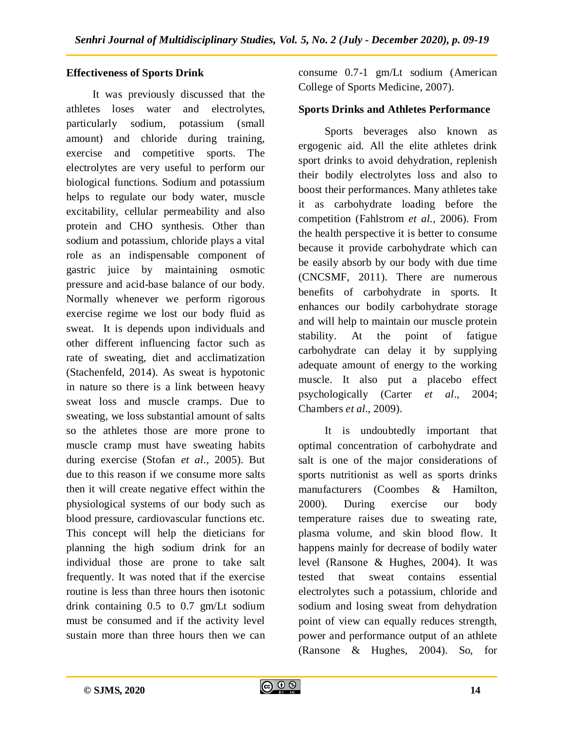## **Effectiveness of Sports Drink**

It was previously discussed that the athletes loses water and electrolytes, particularly sodium, potassium (small amount) and chloride during training, exercise and competitive sports. The electrolytes are very useful to perform our biological functions. Sodium and potassium helps to regulate our body water, muscle excitability, cellular permeability and also protein and CHO synthesis. Other than sodium and potassium, chloride plays a vital role as an indispensable component of gastric juice by maintaining osmotic pressure and acid-base balance of our body. Normally whenever we perform rigorous exercise regime we lost our body fluid as sweat. It is depends upon individuals and other different influencing factor such as rate of sweating, diet and acclimatization (Stachenfeld, 2014). As sweat is hypotonic in nature so there is a link between heavy sweat loss and muscle cramps. Due to sweating, we loss substantial amount of salts so the athletes those are more prone to muscle cramp must have sweating habits during exercise (Stofan *et al*., 2005). But due to this reason if we consume more salts then it will create negative effect within the physiological systems of our body such as blood pressure, cardiovascular functions etc. This concept will help the dieticians for planning the high sodium drink for an individual those are prone to take salt frequently. It was noted that if the exercise routine is less than three hours then isotonic drink containing 0.5 to 0.7 gm/Lt sodium must be consumed and if the activity level sustain more than three hours then we can

consume 0.7-1 gm/Lt sodium (American College of Sports Medicine, 2007).

## **Sports Drinks and Athletes Performance**

Sports beverages also known as ergogenic aid. All the elite athletes drink sport drinks to avoid dehydration, replenish their bodily electrolytes loss and also to boost their performances. Many athletes take it as carbohydrate loading before the competition (Fahlstrom *et al*., 2006). From the health perspective it is better to consume because it provide carbohydrate which can be easily absorb by our body with due time (CNCSMF, 2011). There are numerous benefits of carbohydrate in sports. It enhances our bodily carbohydrate storage and will help to maintain our muscle protein stability. At the point of fatigue carbohydrate can delay it by supplying adequate amount of energy to the working muscle. It also put a placebo effect psychologically (Carter *et al*., 2004; Chambers *et al*., 2009).

It is undoubtedly important that optimal concentration of carbohydrate and salt is one of the major considerations of sports nutritionist as well as sports drinks manufacturers (Coombes & Hamilton, 2000). During exercise our body temperature raises due to sweating rate, plasma volume, and skin blood flow. It happens mainly for decrease of bodily water level (Ransone & Hughes, 2004). It was tested that sweat contains essential electrolytes such a potassium, chloride and sodium and losing sweat from dehydration point of view can equally reduces strength, power and performance output of an athlete (Ransone & Hughes, 2004). So, for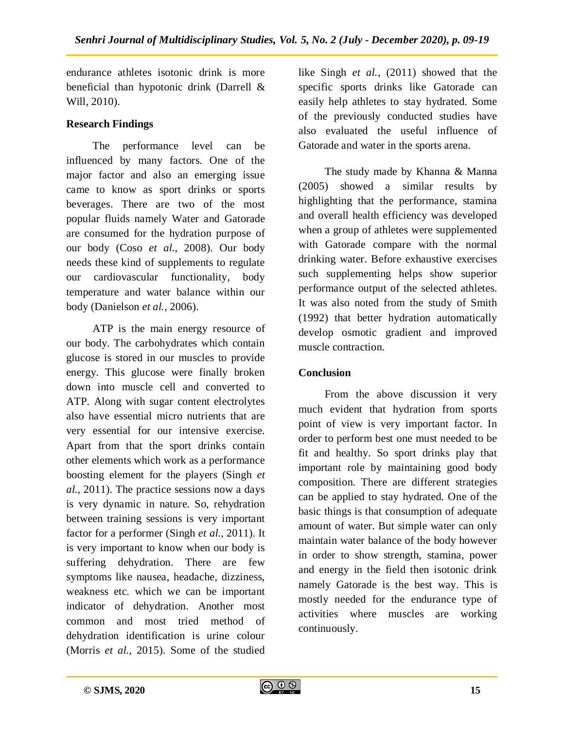endurance athletes isotonic drink is more beneficial than hypotonic drink (Darrell & Will, 2010).

# **Research Findings**

The performance level can be influenced by many factors. One of the major factor and also an emerging issue came to know as sport drinks or sports beverages. There are two of the most popular fluids namely Water and Gatorade are consumed for the hydration purpose of our body (Coso *et al.*, 2008). Our body needs these kind of supplements to regulate our cardiovascular functionality, body temperature and water balance within our body (Danielson *et al.*, 2006).

ATP is the main energy resource of our body. The carbohydrates which contain glucose is stored in our muscles to provide energy. This glucose were finally broken down into muscle cell and converted to ATP. Along with sugar content electrolytes also have essential micro nutrients that are very essential for our intensive exercise. Apart from that the sport drinks contain other elements which work as a performance boosting element for the players (Singh *et al.*, 2011). The practice sessions now a days is very dynamic in nature. So, rehydration between training sessions is very important factor for a performer (Singh *et al.*, 2011). It is very important to know when our body is suffering dehydration. There are few symptoms like nausea, headache, dizziness, weakness etc. which we can be important indicator of dehydration. Another most common and most tried method of dehydration identification is urine colour (Morris *et al.*, 2015). Some of the studied like Singh *et al.*, (2011) showed that the specific sports drinks like Gatorade can easily help athletes to stay hydrated. Some of the previously conducted studies have also evaluated the useful influence of Gatorade and water in the sports arena.

The study made by Khanna & Manna (2005) showed a similar results by highlighting that the performance, stamina and overall health efficiency was developed when a group of athletes were supplemented with Gatorade compare with the normal drinking water. Before exhaustive exercises such supplementing helps show superior performance output of the selected athletes. It was also noted from the study of Smith (1992) that better hydration automatically develop osmotic gradient and improved muscle contraction.

# **Conclusion**

From the above discussion it very much evident that hydration from sports point of view is very important factor. In order to perform best one must needed to be fit and healthy. So sport drinks play that important role by maintaining good body composition. There are different strategies can be applied to stay hydrated. One of the basic things is that consumption of adequate amount of water. But simple water can only maintain water balance of the body however in order to show strength, stamina, power and energy in the field then isotonic drink namely Gatorade is the best way. This is mostly needed for the endurance type of activities where muscles are working continuously.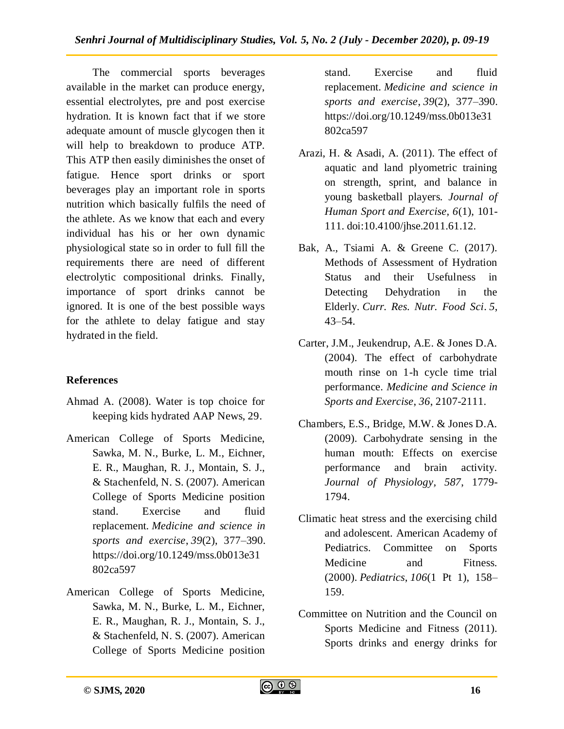The commercial sports beverages available in the market can produce energy, essential electrolytes, pre and post exercise hydration. It is known fact that if we store adequate amount of muscle glycogen then it will help to breakdown to produce ATP. This ATP then easily diminishes the onset of fatigue. Hence sport drinks or sport beverages play an important role in sports nutrition which basically fulfils the need of the athlete. As we know that each and every individual has his or her own dynamic physiological state so in order to full fill the requirements there are need of different electrolytic compositional drinks. Finally, importance of sport drinks cannot be ignored. It is one of the best possible ways for the athlete to delay fatigue and stay hydrated in the field.

# **References**

- Ahmad A. (2008). Water is top choice for keeping kids hydrated AAP News, 29.
- American College of Sports Medicine, Sawka, M. N., Burke, L. M., Eichner, E. R., Maughan, R. J., Montain, S. J., & Stachenfeld, N. S. (2007). American College of Sports Medicine position stand. Exercise and fluid replacement. *Medicine and science in sports and exercise*, *39*(2), 377–390. https://doi.org/10.1249/mss.0b013e31 802ca597
- American College of Sports Medicine, Sawka, M. N., Burke, L. M., Eichner, E. R., Maughan, R. J., Montain, S. J., & Stachenfeld, N. S. (2007). American College of Sports Medicine position

stand. Exercise and fluid replacement. *Medicine and science in sports and exercise*, *39*(2), 377–390. https://doi.org/10.1249/mss.0b013e31 802ca597

- Arazi, H. & Asadi, A. (2011). The effect of aquatic and land plyometric training on strength, sprint, and balance in young basketball players. *Journal of Human Sport and Exercise, 6*(1), 101- 111. doi:10.4100/jhse.2011.61.12.
- Bak, A., Tsiami A. & Greene C. (2017). Methods of Assessment of Hydration Status and their Usefulness in Detecting Dehydration in the Elderly. *Curr. Res. Nutr. Food Sci*. *5*, 43–54.
- Carter, J.M., Jeukendrup, A.E. & Jones D.A. (2004). The effect of carbohydrate mouth rinse on 1-h cycle time trial performance. *Medicine and Science in Sports and Exercise*, *36*, 2107-2111.
- Chambers, E.S., Bridge, M.W. & Jones D.A. (2009). Carbohydrate sensing in the human mouth: Effects on exercise performance and brain activity. *Journal of Physiology, 587*, 1779- 1794.
- Climatic heat stress and the exercising child and adolescent. American Academy of Pediatrics. Committee on Sports Medicine and Fitness. (2000). *Pediatrics*, *106*(1 Pt 1), 158– 159.
- Committee on Nutrition and the Council on Sports Medicine and Fitness (2011). Sports drinks and energy drinks for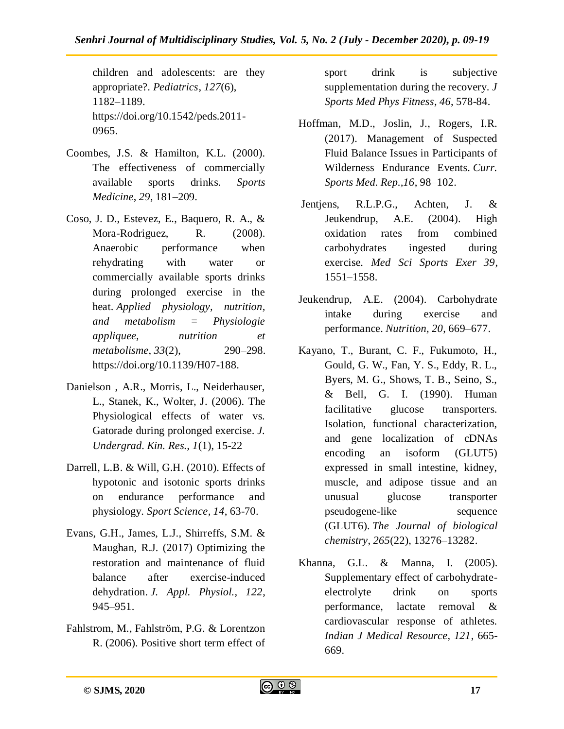children and adolescents: are they appropriate?. *Pediatrics*, *127*(6), 1182–1189. [https://doi.org/10.1542/peds.2011-](https://doi.org/10.1542/peds.2011-0965) [0965.](https://doi.org/10.1542/peds.2011-0965)

- Coombes, J.S. & Hamilton, K.L. (2000). The effectiveness of commercially available sports drinks. *Sports Medicine*, *29*, 181–209.
- Coso, J. D., Estevez, E., Baquero, R. A., & Mora-Rodriguez, R. (2008). Anaerobic performance when rehydrating with water or commercially available sports drinks during prolonged exercise in the heat. *Applied physiology, nutrition, and metabolism = Physiologie appliquee, nutrition et metabolisme*, *33*(2), 290–298. https://doi.org/10.1139/H07-188.
- Danielson , A.R., Morris, L., Neiderhauser, L., Stanek, K., Wolter, J. (2006). The Physiological effects of water vs. Gatorade during prolonged exercise. *J. Undergrad. Kin. Res., 1*(1), 15-22
- Darrell, L.B. & Will, G.H. (2010). Effects of hypotonic and isotonic sports drinks on endurance performance and physiology. *Sport Science, 14*, 63-70.
- Evans, G.H., James, L.J., Shirreffs, S.M. & Maughan, R.J. (2017) Optimizing the restoration and maintenance of fluid balance after exercise-induced dehydration. *J. Appl. Physiol., 122*, 945–951.
- Fahlstrom, M., Fahlström, P.G. & Lorentzon R. (2006). Positive short term effect of

sport drink is subjective supplementation during the recovery. *J Sports Med Phys Fitness, 46*, 578-84.

- Hoffman, M.D., Joslin, J., Rogers, I.R. (2017). Management of Suspected Fluid Balance Issues in Participants of Wilderness Endurance Events. *Curr. Sports Med. Rep.,16*, 98–102.
- Jentjens, R.L.P.G., Achten, J. & Jeukendrup, A.E. (2004). High oxidation rates from combined carbohydrates ingested during exercise. *Med Sci Sports Exer 39*, 1551–1558.
- Jeukendrup, A.E. (2004). Carbohydrate intake during exercise and performance. *Nutrition, 20*, 669–677.
- Kayano, T., Burant, C. F., Fukumoto, H., Gould, G. W., Fan, Y. S., Eddy, R. L., Byers, M. G., Shows, T. B., Seino, S., & Bell, G. I. (1990). Human facilitative glucose transporters. Isolation, functional characterization, and gene localization of cDNAs encoding an isoform (GLUT5) expressed in small intestine, kidney, muscle, and adipose tissue and an unusual glucose transporter pseudogene-like sequence (GLUT6). *The Journal of biological chemistry*, *265*(22), 13276–13282.
- Khanna, G.L. & Manna, I. (2005). Supplementary effect of carbohydrateelectrolyte drink on sports performance, lactate removal & cardiovascular response of athletes. *Indian J Medical Resource, 121*, 665- 669.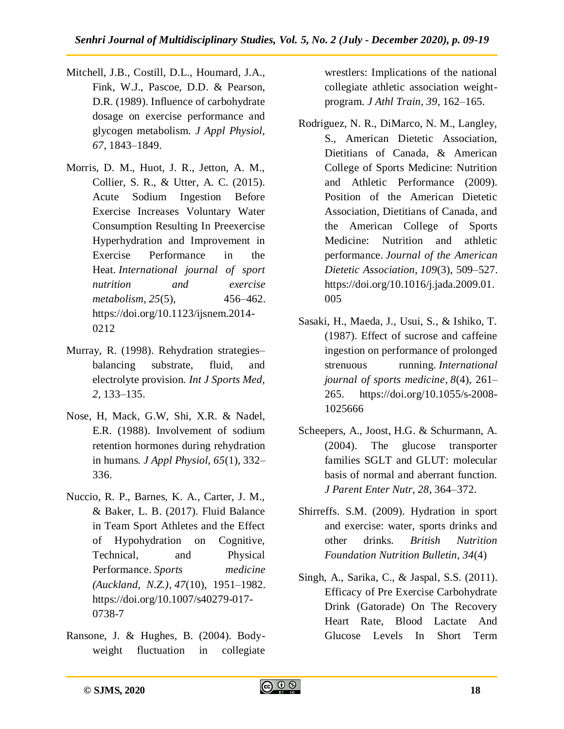- Mitchell, J.B., Costill, D.L., Houmard, J.A., Fink, W.J., Pascoe, D.D. & Pearson, D.R. (1989). Influence of carbohydrate dosage on exercise performance and glycogen metabolism. *J Appl Physiol, 67*, 1843–1849.
- Morris, D. M., Huot, J. R., Jetton, A. M., Collier, S. R., & Utter, A. C. (2015). Acute Sodium Ingestion Before Exercise Increases Voluntary Water Consumption Resulting In Preexercise Hyperhydration and Improvement in Exercise Performance in the Heat. *International journal of sport nutrition and exercise metabolism*, *25*(5), 456–462. https://doi.org/10.1123/ijsnem.2014- 0212
- Murray, R. (1998). Rehydration strategies– balancing substrate, fluid, and electrolyte provision. *Int J Sports Med, 2*, 133–135.
- Nose, H, Mack, G.W, Shi, X.R. & Nadel, E.R. (1988). Involvement of sodium retention hormones during rehydration in humans. *J Appl Physiol, 65*(1), 332– 336.
- Nuccio, R. P., Barnes, K. A., Carter, J. M., & Baker, L. B. (2017). Fluid Balance in Team Sport Athletes and the Effect of Hypohydration on Cognitive, Technical, and Physical Performance. *Sports medicine (Auckland, N.Z.)*, *47*(10), 1951–1982. https://doi.org/10.1007/s40279-017- 0738-7
- Ransone, J. & Hughes, B. (2004). Bodyweight fluctuation in collegiate

wrestlers: Implications of the national collegiate athletic association weightprogram. *J Athl Train, 39*, 162–165.

- Rodriguez, N. R., DiMarco, N. M., Langley, S., American Dietetic Association, Dietitians of Canada, & American College of Sports Medicine: Nutrition and Athletic Performance (2009). Position of the American Dietetic Association, Dietitians of Canada, and the American College of Sports Medicine: Nutrition and athletic performance. *Journal of the American Dietetic Association*, *109*(3), 509–527. https://doi.org/10.1016/j.jada.2009.01. 005
- Sasaki, H., Maeda, J., Usui, S., & Ishiko, T. (1987). Effect of sucrose and caffeine ingestion on performance of prolonged strenuous running. *International journal of sports medicine*, *8*(4), 261– 265. [https://doi.org/10.1055/s-2008-](https://doi.org/10.1055/s-2008-1025666) [1025666](https://doi.org/10.1055/s-2008-1025666)
- Scheepers, A., Joost, H.G. & Schurmann, A. (2004). The glucose transporter families SGLT and GLUT: molecular basis of normal and aberrant function. *J Parent Enter Nutr, 28*, 364–372.
- Shirreffs. S.M. (2009). Hydration in sport and exercise: water, sports drinks and other drinks. *British Nutrition Foundation Nutrition Bulletin, 34*(4)
- Singh, A., Sarika, C., & Jaspal, S.S. (2011). Efficacy of Pre Exercise Carbohydrate Drink (Gatorade) On The Recovery Heart Rate, Blood Lactate And Glucose Levels In Short Term